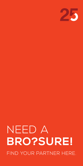

# NEED A **BRO?SURE!** FIND YOUR PARTNER HERE.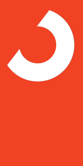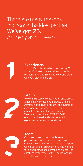## There are many reasons to choose the ideal partner. We've got 25. As many as our years!



#### **Experience.**

It's big! We pride ourselves on counting 25 successful years in advertising and public relations. Since 1989, we have collaborated with very significant clients.



#### **Group.**

We own a group of companies. Orange group, among many companies, includes Orange Advertising which is a full service advertising company and Bewired, which is a web marketing and social media company. We are also members of TEMPO OMD, one of the biggest and most awarded global media networks worldwide.



#### **Team.**

Our dream team consists of talented professionals with strategic thinking and creative minds. It includes advertising experts with great deal of experience, having worked for global brands and demanding clients. The excellent competency of the English language in the team is a great asset.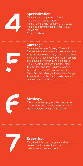

#### **Specialization.**

We are advertising experts. Check. We know the market. Check. We are fluent English speakers. Talk to us. We are into communication since 1989. Yes we are. We are ready for you!

#### **Coverage.**



We are everywhere! Owning offices both in Thessaloniki and Athens is a great advantage. It means that we have easy and fast access to any place in Greece. Also, as official members of Dialogue International, we connect to: Turkey, Austria, Belgium, Finland, France, Italy, Switzerland, Iran, Bulgaria, Albania, Denmark, Ukraine, Bosnia-Herzegovina, Czech Republic, Georgia, Kazakhstan, Skopje, Romania, Russia, Serbia, Slovakia, Sweden, United Kingdom and USA.



#### **Strategy.**

This is our philosophy and the core part of our business. We develop powerful brands that correspond to our clients' targets.



#### **Expertise.**

We gained it through the years and we develop it with research and the most updated communication tools.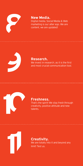

#### **New Media.**  Digital media, Social Media & Web marketing is our alter ego. We are content, we are updated!



#### **Research.** We invest in research, as it is the first and most crucial communication tool.



#### **Freshness.**  That's the spirit! We stay fresh through

creativity, positive attitude and new talents.



#### **Creativity.** We are totally into it and beyond any limit! Test us.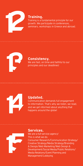

#### **Training.**

Training is a fundamental principle for our growth. We participate in conferences, seminars, workshops in Greece and abroad.



#### **Consistency.** We are fast, on time and faithful to our principles and our deadlines!



#### **Updated.**

Communication demands full engagement to information. That's why we listen, we read, and we get informed about anything that happens around the globe!



#### **Services.**

We are a full-service agency! This is what we do. Consumer Research/Communication Strategy/ Creative Strategy/Media Strategy/Branding & Design/Web Marketing/Web Design & Development/Social Media/Public Relations/ Media Relations/Event Planning and Management/Lobbying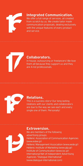

#### **Integrated Communication.**

We offer a full range of services, all created from scratch by us. We create tailor made communication proposals, dealing exclusively with the unique features of every product and service.



#### **Collaborators.**

In-house, outsourcing or freelancers! We love them all because they support us and they are A-list professionals.



#### **Relations.**

This is a success story! Our long lasting relations with our clients and collaborators are due to the way we see each and every single one of them. Personally!



#### **Extroversion.**

We are members of the following advertising groups: Hellenic Association of Communication Agencies (www.edee.gr) Hellenic Management Association (www.eede.gr) Hellenic Institute of Marketing (www.gtp.gr) Institute of Communication (www.ioc.gr) International Net of Independent Advertising Agencies "Dialogue International" (www.dialogue-international.com)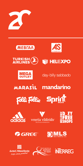







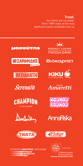**Trust.**  Our clients are our power. Since 1989, many of the most significant brands worldwide trust us!



ΠΕΡΙΦΕΡΕΙΑ ΚΕΝΤΡΙΚΗΣ ΜΑΚΕΔΟΝΙΑΣ **Evδιάμεση** Διαχειριστική Apxń

EAAHNIKH<br>AHMOKPATIA ΠΑΝΕΠΙΣΤΗΜΙΟ MAKEAONIAE ΟΙΚΟΝΟΜΙΚΩΝ ΚΑΙ ΚΟΙΝΩΝΙΚΩΝ ΕΠΙΣΤΗΜΩΝ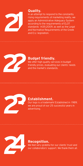

#### **Quality.**

In an attempt to respond to the constantly rising requirements of marketing reality, we apply an Administrative Adequacy System according to the requirements of ELOT standards 1435:2009, as well as the Legal and Normative Requirements of the Greek and E.U. legislation.



### **Budget friendly.**

We offer high quality services in budget friendly prices, evaluating our clients' needs and the market's standards.



#### **Establishment.**

Our logo is a trademark! Established in 1989, we are proud of our 25 successful years in advertising.



#### **Recognition.**

We feel very grateful for our clients' trust and our collaborators' support. We thank them all.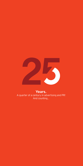

#### **Years.**  A quarter of a century in advertising and PR! And counting...